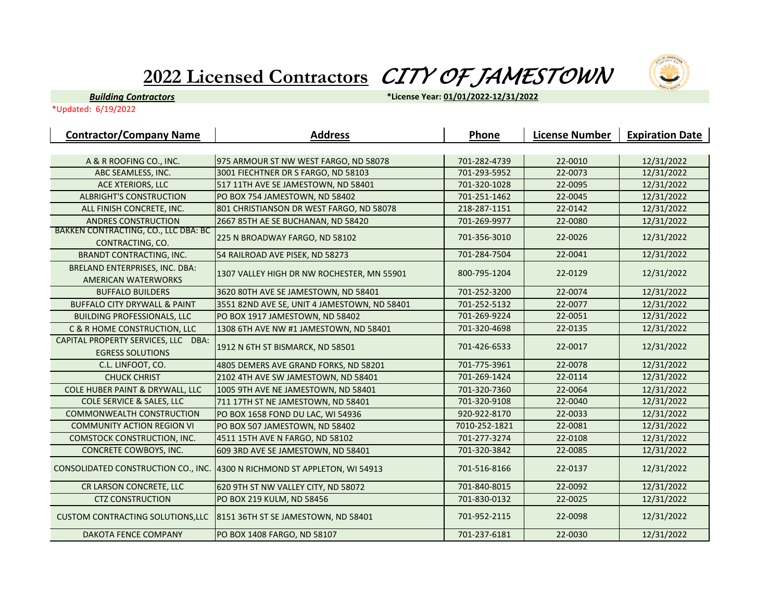## **2022 Licensed Contractors** *CITY OF JAMESTOWN*



*Building Contractors*

**\*License Year: 01/01/2022-12/31/2022**

\*Updated: 6/19/2022

| <b>Contractor/Company Name</b>                               | <b>Address</b>                               | Phone         | <b>License Number</b> | <b>Expiration Date</b> |
|--------------------------------------------------------------|----------------------------------------------|---------------|-----------------------|------------------------|
|                                                              |                                              |               |                       |                        |
| A & R ROOFING CO., INC.                                      | 975 ARMOUR ST NW WEST FARGO, ND 58078        | 701-282-4739  | 22-0010               | 12/31/2022             |
| ABC SEAMLESS, INC.                                           | 3001 FIECHTNER DR S FARGO, ND 58103          | 701-293-5952  | 22-0073               | 12/31/2022             |
| <b>ACE XTERIORS, LLC</b>                                     | 517 11TH AVE SE JAMESTOWN, ND 58401          | 701-320-1028  | 22-0095               | 12/31/2022             |
| <b>ALBRIGHT'S CONSTRUCTION</b>                               | PO BOX 754 JAMESTOWN, ND 58402               | 701-251-1462  | 22-0045               | 12/31/2022             |
| ALL FINISH CONCRETE, INC.                                    | 801 CHRISTIANSON DR WEST FARGO, ND 58078     | 218-287-1151  | 22-0142               | 12/31/2022             |
| <b>ANDRES CONSTRUCTION</b>                                   | 2667 85TH AE SE BUCHANAN, ND 58420           | 701-269-9977  | 22-0080               | 12/31/2022             |
| BAKKEN CONTRACTING, CO., LLC DBA: BC<br>CONTRACTING, CO.     | 225 N BROADWAY FARGO, ND 58102               | 701-356-3010  | 22-0026               | 12/31/2022             |
| <b>BRANDT CONTRACTING, INC.</b>                              | 54 RAILROAD AVE PISEK, ND 58273              | 701-284-7504  | 22-0041               | 12/31/2022             |
| BRELAND ENTERPRISES, INC. DBA:<br><b>AMERICAN WATERWORKS</b> | 1307 VALLEY HIGH DR NW ROCHESTER, MN 55901   | 800-795-1204  | 22-0129               | 12/31/2022             |
| <b>BUFFALO BUILDERS</b>                                      | 3620 80TH AVE SE JAMESTOWN, ND 58401         | 701-252-3200  | 22-0074               | 12/31/2022             |
| <b>BUFFALO CITY DRYWALL &amp; PAINT</b>                      | 3551 82ND AVE SE, UNIT 4 JAMESTOWN, ND 58401 | 701-252-5132  | 22-0077               | 12/31/2022             |
| <b>BUILDING PROFESSIONALS, LLC</b>                           | PO BOX 1917 JAMESTOWN, ND 58402              | 701-269-9224  | 22-0051               | 12/31/2022             |
| <b>C &amp; R HOME CONSTRUCTION, LLC</b>                      | 1308 6TH AVE NW #1 JAMESTOWN, ND 58401       | 701-320-4698  | 22-0135               | 12/31/2022             |
| CAPITAL PROPERTY SERVICES, LLC DBA:                          | 1912 N 6TH ST BISMARCK, ND 58501             | 701-426-6533  | 22-0017               | 12/31/2022             |
| <b>EGRESS SOLUTIONS</b>                                      |                                              | 701-775-3961  | 22-0078               |                        |
| C.L. LINFOOT, CO.                                            | 4805 DEMERS AVE GRAND FORKS, ND 58201        |               |                       | 12/31/2022             |
| <b>CHUCK CHRIST</b>                                          | 2102 4TH AVE SW JAMESTOWN, ND 58401          | 701-269-1424  | 22-0114               | 12/31/2022             |
| COLE HUBER PAINT & DRYWALL, LLC                              | 1005 9TH AVE NE JAMESTOWN, ND 58401          | 701-320-7360  | 22-0064               | 12/31/2022             |
| <b>COLE SERVICE &amp; SALES, LLC</b>                         | 711 17TH ST NE JAMESTOWN, ND 58401           | 701-320-9108  | 22-0040               | 12/31/2022             |
| <b>COMMONWEALTH CONSTRUCTION</b>                             | PO BOX 1658 FOND DU LAC, WI 54936            | 920-922-8170  | 22-0033               | 12/31/2022             |
| <b>COMMUNITY ACTION REGION VI</b>                            | PO BOX 507 JAMESTOWN, ND 58402               | 7010-252-1821 | 22-0081               | 12/31/2022             |
| <b>COMSTOCK CONSTRUCTION, INC.</b>                           | 4511 15TH AVE N FARGO, ND 58102              | 701-277-3274  | 22-0108               | 12/31/2022             |
| CONCRETE COWBOYS, INC.                                       | 609 3RD AVE SE JAMESTOWN, ND 58401           | 701-320-3842  | 22-0085               | 12/31/2022             |
| CONSOLIDATED CONSTRUCTION CO., INC.                          | 4300 N RICHMOND ST APPLETON, WI 54913        | 701-516-8166  | 22-0137               | 12/31/2022             |
| CR LARSON CONCRETE, LLC                                      | 620 9TH ST NW VALLEY CITY, ND 58072          | 701-840-8015  | 22-0092               | 12/31/2022             |
| <b>CTZ CONSTRUCTION</b>                                      | PO BOX 219 KULM, ND 58456                    | 701-830-0132  | 22-0025               | 12/31/2022             |
| <b>CUSTOM CONTRACTING SOLUTIONS, LLC</b>                     | 8151 36TH ST SE JAMESTOWN, ND 58401          | 701-952-2115  | 22-0098               | 12/31/2022             |
| DAKOTA FENCE COMPANY                                         | PO BOX 1408 FARGO, ND 58107                  | 701-237-6181  | 22-0030               | 12/31/2022             |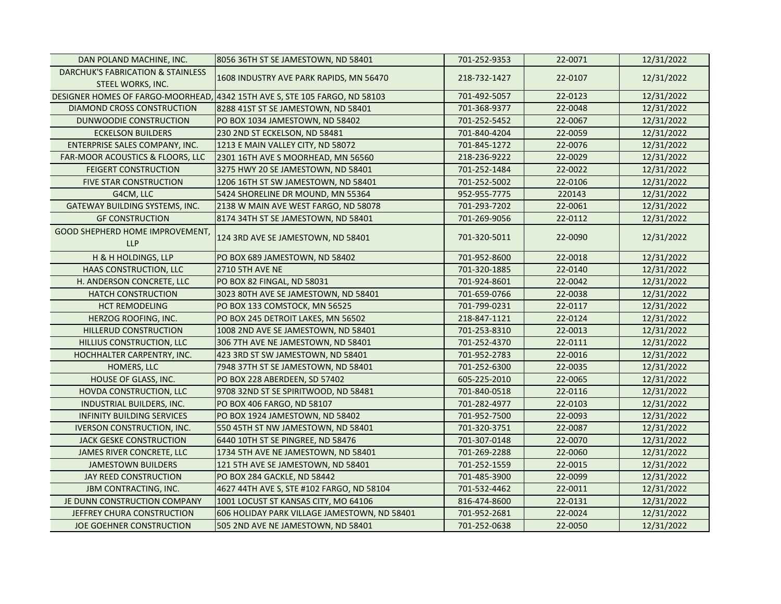| DAN POLAND MACHINE, INC.               | 8056 36TH ST SE JAMESTOWN, ND 58401                                        | 701-252-9353 | 22-0071 | 12/31/2022 |
|----------------------------------------|----------------------------------------------------------------------------|--------------|---------|------------|
| DARCHUK'S FABRICATION & STAINLESS      | 1608 INDUSTRY AVE PARK RAPIDS, MN 56470                                    | 218-732-1427 | 22-0107 | 12/31/2022 |
| STEEL WORKS, INC.                      |                                                                            |              |         |            |
|                                        | DESIGNER HOMES OF FARGO-MOORHEAD, 4342 15TH AVE S, STE 105 FARGO, ND 58103 | 701-492-5057 | 22-0123 | 12/31/2022 |
| DIAMOND CROSS CONSTRUCTION             | 8288 41ST ST SE JAMESTOWN, ND 58401                                        | 701-368-9377 | 22-0048 | 12/31/2022 |
| DUNWOODIE CONSTRUCTION                 | PO BOX 1034 JAMESTOWN, ND 58402                                            | 701-252-5452 | 22-0067 | 12/31/2022 |
| <b>ECKELSON BUILDERS</b>               | 230 2ND ST ECKELSON, ND 58481                                              | 701-840-4204 | 22-0059 | 12/31/2022 |
| <b>ENTERPRISE SALES COMPANY, INC.</b>  | 1213 E MAIN VALLEY CITY, ND 58072                                          | 701-845-1272 | 22-0076 | 12/31/2022 |
| FAR-MOOR ACOUSTICS & FLOORS, LLC       | 2301 16TH AVE S MOORHEAD, MN 56560                                         | 218-236-9222 | 22-0029 | 12/31/2022 |
| <b>FEIGERT CONSTRUCTION</b>            | 3275 HWY 20 SE JAMESTOWN, ND 58401                                         | 701-252-1484 | 22-0022 | 12/31/2022 |
| <b>FIVE STAR CONSTRUCTION</b>          | 1206 16TH ST SW JAMESTOWN, ND 58401                                        | 701-252-5002 | 22-0106 | 12/31/2022 |
| G4CM, LLC                              | 5424 SHORELINE DR MOUND, MN 55364                                          | 952-955-7775 | 220143  | 12/31/2022 |
| GATEWAY BUILDING SYSTEMS, INC.         | 2138 W MAIN AVE WEST FARGO, ND 58078                                       | 701-293-7202 | 22-0061 | 12/31/2022 |
| <b>GF CONSTRUCTION</b>                 | 8174 34TH ST SE JAMESTOWN, ND 58401                                        | 701-269-9056 | 22-0112 | 12/31/2022 |
| <b>GOOD SHEPHERD HOME IMPROVEMENT,</b> |                                                                            |              |         |            |
| <b>LLP</b>                             | 124 3RD AVE SE JAMESTOWN, ND 58401                                         | 701-320-5011 | 22-0090 | 12/31/2022 |
| H & H HOLDINGS, LLP                    | PO BOX 689 JAMESTOWN, ND 58402                                             | 701-952-8600 | 22-0018 | 12/31/2022 |
| HAAS CONSTRUCTION, LLC                 | <b>2710 5TH AVE NE</b>                                                     | 701-320-1885 | 22-0140 | 12/31/2022 |
| H. ANDERSON CONCRETE, LLC              | PO BOX 82 FINGAL, ND 58031                                                 | 701-924-8601 | 22-0042 | 12/31/2022 |
| <b>HATCH CONSTRUCTION</b>              | 3023 80TH AVE SE JAMESTOWN, ND 58401                                       | 701-659-0766 | 22-0038 | 12/31/2022 |
| <b>HCT REMODELING</b>                  | PO BOX 133 COMSTOCK, MN 56525                                              | 701-799-0231 | 22-0117 | 12/31/2022 |
| HERZOG ROOFING, INC.                   | PO BOX 245 DETROIT LAKES, MN 56502                                         | 218-847-1121 | 22-0124 | 12/31/2022 |
| HILLERUD CONSTRUCTION                  | 1008 2ND AVE SE JAMESTOWN, ND 58401                                        | 701-253-8310 | 22-0013 | 12/31/2022 |
| HILLIUS CONSTRUCTION, LLC              | 306 7TH AVE NE JAMESTOWN, ND 58401                                         | 701-252-4370 | 22-0111 | 12/31/2022 |
| HOCHHALTER CARPENTRY, INC.             | 423 3RD ST SW JAMESTOWN, ND 58401                                          | 701-952-2783 | 22-0016 | 12/31/2022 |
| HOMERS, LLC                            | 7948 37TH ST SE JAMESTOWN, ND 58401                                        | 701-252-6300 | 22-0035 | 12/31/2022 |
| HOUSE OF GLASS, INC.                   | PO BOX 228 ABERDEEN, SD 57402                                              | 605-225-2010 | 22-0065 | 12/31/2022 |
| <b>HOVDA CONSTRUCTION, LLC</b>         | 9708 32ND ST SE SPIRITWOOD, ND 58481                                       | 701-840-0518 | 22-0116 | 12/31/2022 |
| INDUSTRIAL BUILDERS, INC.              | PO BOX 406 FARGO, ND 58107                                                 | 701-282-4977 | 22-0103 | 12/31/2022 |
| <b>INFINITY BUILDING SERVICES</b>      | PO BOX 1924 JAMESTOWN, ND 58402                                            | 701-952-7500 | 22-0093 | 12/31/2022 |
| <b>IVERSON CONSTRUCTION, INC.</b>      | 550 45TH ST NW JAMESTOWN, ND 58401                                         | 701-320-3751 | 22-0087 | 12/31/2022 |
| <b>JACK GESKE CONSTRUCTION</b>         | 6440 10TH ST SE PINGREE, ND 58476                                          | 701-307-0148 | 22-0070 | 12/31/2022 |
| JAMES RIVER CONCRETE, LLC              | 1734 5TH AVE NE JAMESTOWN, ND 58401                                        | 701-269-2288 | 22-0060 | 12/31/2022 |
| <b>JAMESTOWN BUILDERS</b>              | 121 5TH AVE SE JAMESTOWN, ND 58401                                         | 701-252-1559 | 22-0015 | 12/31/2022 |
| JAY REED CONSTRUCTION                  | PO BOX 284 GACKLE, ND 58442                                                | 701-485-3900 | 22-0099 | 12/31/2022 |
| <b>JBM CONTRACTING, INC.</b>           | 4627 44TH AVE S, STE #102 FARGO, ND 58104                                  | 701-532-4462 | 22-0011 | 12/31/2022 |
| JE DUNN CONSTRUCTION COMPANY           | 1001 LOCUST ST KANSAS CITY, MO 64106                                       | 816-474-8600 | 22-0131 | 12/31/2022 |
| JEFFREY CHURA CONSTRUCTION             | 606 HOLIDAY PARK VILLAGE JAMESTOWN, ND 58401                               | 701-952-2681 | 22-0024 | 12/31/2022 |
| JOE GOEHNER CONSTRUCTION               | 505 2ND AVE NE JAMESTOWN, ND 58401                                         | 701-252-0638 | 22-0050 | 12/31/2022 |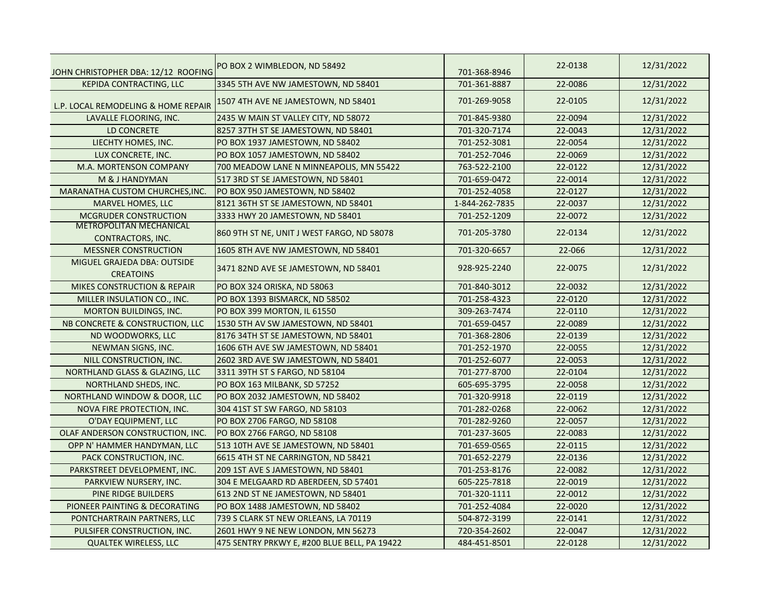| JOHN CHRISTOPHER DBA: 12/12 ROOFING                 | PO BOX 2 WIMBLEDON, ND 58492                 | 701-368-8946   | 22-0138 | 12/31/2022 |
|-----------------------------------------------------|----------------------------------------------|----------------|---------|------------|
| <b>KEPIDA CONTRACTING, LLC</b>                      | 3345 5TH AVE NW JAMESTOWN, ND 58401          | 701-361-8887   | 22-0086 | 12/31/2022 |
| L.P. LOCAL REMODELING & HOME REPAIR                 | 1507 4TH AVE NE JAMESTOWN, ND 58401          | 701-269-9058   | 22-0105 | 12/31/2022 |
| LAVALLE FLOORING, INC.                              | 2435 W MAIN ST VALLEY CITY, ND 58072         | 701-845-9380   | 22-0094 | 12/31/2022 |
| <b>LD CONCRETE</b>                                  | 8257 37TH ST SE JAMESTOWN, ND 58401          | 701-320-7174   | 22-0043 | 12/31/2022 |
| LIECHTY HOMES, INC.                                 | PO BOX 1937 JAMESTOWN, ND 58402              | 701-252-3081   | 22-0054 | 12/31/2022 |
| LUX CONCRETE, INC.                                  | PO BOX 1057 JAMESTOWN, ND 58402              | 701-252-7046   | 22-0069 | 12/31/2022 |
| M.A. MORTENSON COMPANY                              | 700 MEADOW LANE N MINNEAPOLIS, MN 55422      | 763-522-2100   | 22-0122 | 12/31/2022 |
| M & J HANDYMAN                                      | 517 3RD ST SE JAMESTOWN, ND 58401            | 701-659-0472   | 22-0014 | 12/31/2022 |
| MARANATHA CUSTOM CHURCHES, INC.                     | PO BOX 950 JAMESTOWN, ND 58402               | 701-252-4058   | 22-0127 | 12/31/2022 |
| <b>MARVEL HOMES, LLC</b>                            | 8121 36TH ST SE JAMESTOWN, ND 58401          | 1-844-262-7835 | 22-0037 | 12/31/2022 |
| <b>MCGRUDER CONSTRUCTION</b>                        | 3333 HWY 20 JAMESTOWN, ND 58401              | 701-252-1209   | 22-0072 | 12/31/2022 |
| <b>METROPOLITAN MECHANICAL</b><br>CONTRACTORS, INC. | 860 9TH ST NE, UNIT J WEST FARGO, ND 58078   | 701-205-3780   | 22-0134 | 12/31/2022 |
| <b>MESSNER CONSTRUCTION</b>                         | 1605 8TH AVE NW JAMESTOWN, ND 58401          | 701-320-6657   | 22-066  | 12/31/2022 |
| MIGUEL GRAJEDA DBA: OUTSIDE<br><b>CREATOINS</b>     | 3471 82ND AVE SE JAMESTOWN, ND 58401         | 928-925-2240   | 22-0075 | 12/31/2022 |
| <b>MIKES CONSTRUCTION &amp; REPAIR</b>              | PO BOX 324 ORISKA, ND 58063                  | 701-840-3012   | 22-0032 | 12/31/2022 |
| MILLER INSULATION CO., INC.                         | PO BOX 1393 BISMARCK, ND 58502               | 701-258-4323   | 22-0120 | 12/31/2022 |
| <b>MORTON BUILDINGS, INC.</b>                       | PO BOX 399 MORTON, IL 61550                  | 309-263-7474   | 22-0110 | 12/31/2022 |
| NB CONCRETE & CONSTRUCTION, LLC                     | 1530 5TH AV SW JAMESTOWN, ND 58401           | 701-659-0457   | 22-0089 | 12/31/2022 |
| ND WOODWORKS, LLC                                   | 8176 34TH ST SE JAMESTOWN, ND 58401          | 701-368-2806   | 22-0139 | 12/31/2022 |
| NEWMAN SIGNS, INC.                                  | 1606 6TH AVE SW JAMESTOWN, ND 58401          | 701-252-1970   | 22-0055 | 12/31/2022 |
| NILL CONSTRUCTION, INC.                             | 2602 3RD AVE SW JAMESTOWN, ND 58401          | 701-252-6077   | 22-0053 | 12/31/2022 |
| NORTHLAND GLASS & GLAZING, LLC                      | 3311 39TH ST S FARGO, ND 58104               | 701-277-8700   | 22-0104 | 12/31/2022 |
| NORTHLAND SHEDS, INC.                               | PO BOX 163 MILBANK, SD 57252                 | 605-695-3795   | 22-0058 | 12/31/2022 |
| NORTHLAND WINDOW & DOOR, LLC                        | PO BOX 2032 JAMESTOWN, ND 58402              | 701-320-9918   | 22-0119 | 12/31/2022 |
| NOVA FIRE PROTECTION, INC.                          | 304 41ST ST SW FARGO, ND 58103               | 701-282-0268   | 22-0062 | 12/31/2022 |
| O'DAY EQUIPMENT, LLC                                | PO BOX 2706 FARGO, ND 58108                  | 701-282-9260   | 22-0057 | 12/31/2022 |
| OLAF ANDERSON CONSTRUCTION, INC.                    | PO BOX 2766 FARGO, ND 58108                  | 701-237-3605   | 22-0083 | 12/31/2022 |
| OPP N' HAMMER HANDYMAN, LLC                         | 513 10TH AVE SE JAMESTOWN, ND 58401          | 701-659-0565   | 22-0115 | 12/31/2022 |
| PACK CONSTRUCTION, INC.                             | 6615 4TH ST NE CARRINGTON, ND 58421          | 701-652-2279   | 22-0136 | 12/31/2022 |
| PARKSTREET DEVELOPMENT, INC.                        | 209 1ST AVE S JAMESTOWN, ND 58401            | 701-253-8176   | 22-0082 | 12/31/2022 |
| PARKVIEW NURSERY, INC.                              | 304 E MELGAARD RD ABERDEEN, SD 57401         | 605-225-7818   | 22-0019 | 12/31/2022 |
| PINE RIDGE BUILDERS                                 | 613 2ND ST NE JAMESTOWN, ND 58401            | 701-320-1111   | 22-0012 | 12/31/2022 |
| PIONEER PAINTING & DECORATING                       | PO BOX 1488 JAMESTOWN, ND 58402              | 701-252-4084   | 22-0020 | 12/31/2022 |
| PONTCHARTRAIN PARTNERS, LLC                         | 739 S CLARK ST NEW ORLEANS, LA 70119         | 504-872-3199   | 22-0141 | 12/31/2022 |
| PULSIFER CONSTRUCTION, INC.                         | 2601 HWY 9 NE NEW LONDON, MN 56273           | 720-354-2602   | 22-0047 | 12/31/2022 |
| <b>QUALTEK WIRELESS, LLC</b>                        | 475 SENTRY PRKWY E, #200 BLUE BELL, PA 19422 | 484-451-8501   | 22-0128 | 12/31/2022 |